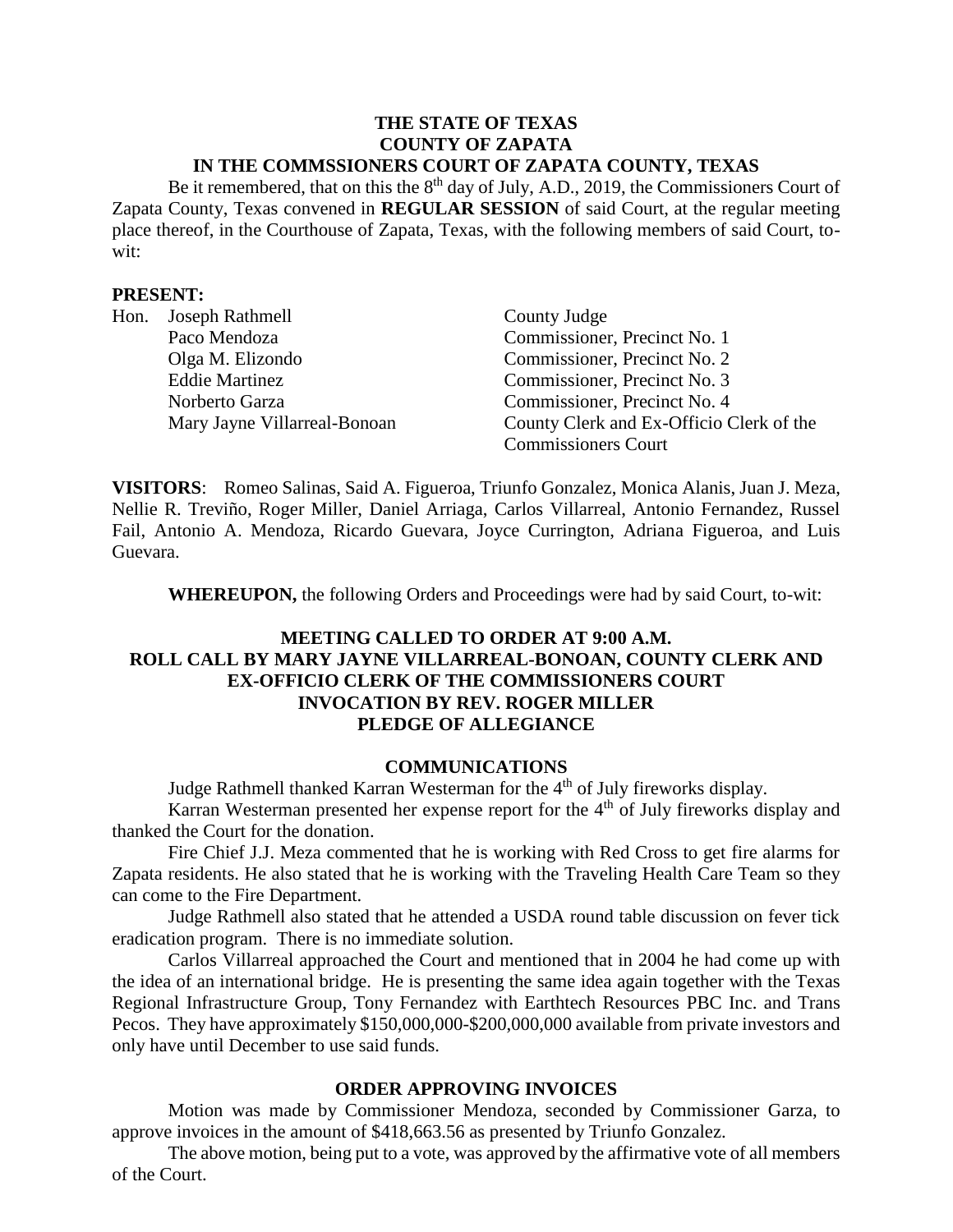#### **THE STATE OF TEXAS COUNTY OF ZAPATA IN THE COMMSSIONERS COURT OF ZAPATA COUNTY, TEXAS**

Be it remembered, that on this the  $8<sup>th</sup>$  day of July, A.D., 2019, the Commissioners Court of Zapata County, Texas convened in **REGULAR SESSION** of said Court, at the regular meeting place thereof, in the Courthouse of Zapata, Texas, with the following members of said Court, towit:

#### **PRESENT:**

| Hon. | Joseph Rathmell              | County Judge                             |
|------|------------------------------|------------------------------------------|
|      | Paco Mendoza                 | Commissioner, Precinct No. 1             |
|      | Olga M. Elizondo             | Commissioner, Precinct No. 2             |
|      | <b>Eddie Martinez</b>        | Commissioner, Precinct No. 3             |
|      | Norberto Garza               | Commissioner, Precinct No. 4             |
|      | Mary Jayne Villarreal-Bonoan | County Clerk and Ex-Officio Clerk of the |
|      |                              | <b>Commissioners Court</b>               |

**VISITORS**: Romeo Salinas, Said A. Figueroa, Triunfo Gonzalez, Monica Alanis, Juan J. Meza, Nellie R. Treviño, Roger Miller, Daniel Arriaga, Carlos Villarreal, Antonio Fernandez, Russel Fail, Antonio A. Mendoza, Ricardo Guevara, Joyce Currington, Adriana Figueroa, and Luis Guevara.

**WHEREUPON,** the following Orders and Proceedings were had by said Court, to-wit:

# **MEETING CALLED TO ORDER AT 9:00 A.M. ROLL CALL BY MARY JAYNE VILLARREAL-BONOAN, COUNTY CLERK AND EX-OFFICIO CLERK OF THE COMMISSIONERS COURT INVOCATION BY REV. ROGER MILLER PLEDGE OF ALLEGIANCE**

#### **COMMUNICATIONS**

Judge Rathmell thanked Karran Westerman for the 4<sup>th</sup> of July fireworks display.

Karran Westerman presented her expense report for the  $4<sup>th</sup>$  of July fireworks display and thanked the Court for the donation.

Fire Chief J.J. Meza commented that he is working with Red Cross to get fire alarms for Zapata residents. He also stated that he is working with the Traveling Health Care Team so they can come to the Fire Department.

Judge Rathmell also stated that he attended a USDA round table discussion on fever tick eradication program. There is no immediate solution.

Carlos Villarreal approached the Court and mentioned that in 2004 he had come up with the idea of an international bridge. He is presenting the same idea again together with the Texas Regional Infrastructure Group, Tony Fernandez with Earthtech Resources PBC Inc. and Trans Pecos. They have approximately \$150,000,000-\$200,000,000 available from private investors and only have until December to use said funds.

### **ORDER APPROVING INVOICES**

Motion was made by Commissioner Mendoza, seconded by Commissioner Garza, to approve invoices in the amount of \$418,663.56 as presented by Triunfo Gonzalez.

The above motion, being put to a vote, was approved by the affirmative vote of all members of the Court.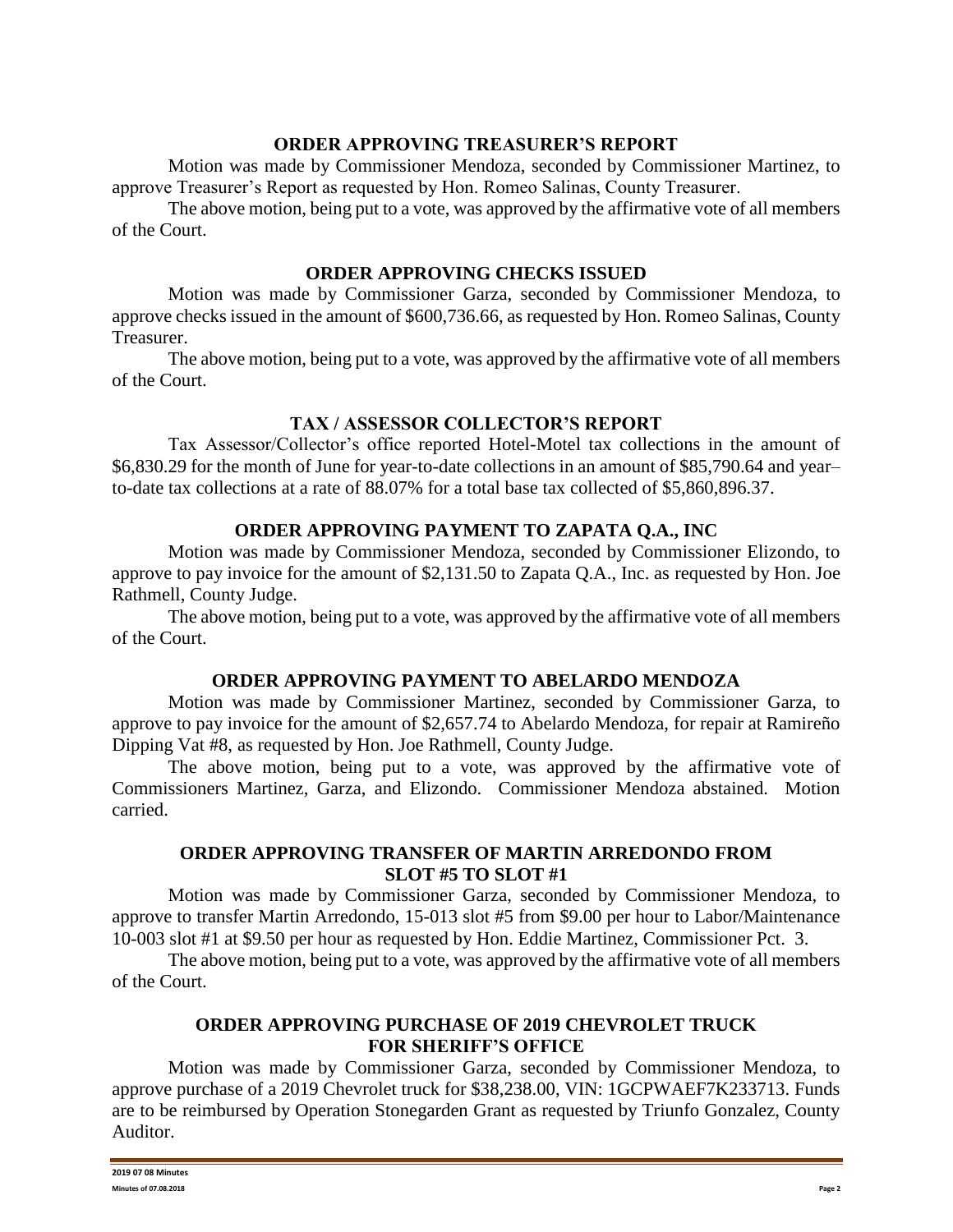### **ORDER APPROVING TREASURER'S REPORT**

Motion was made by Commissioner Mendoza, seconded by Commissioner Martinez, to approve Treasurer's Report as requested by Hon. Romeo Salinas, County Treasurer.

The above motion, being put to a vote, was approved by the affirmative vote of all members of the Court.

### **ORDER APPROVING CHECKS ISSUED**

Motion was made by Commissioner Garza, seconded by Commissioner Mendoza, to approve checks issued in the amount of \$600,736.66, as requested by Hon. Romeo Salinas, County Treasurer.

The above motion, being put to a vote, was approved by the affirmative vote of all members of the Court.

## **TAX / ASSESSOR COLLECTOR'S REPORT**

Tax Assessor/Collector's office reported Hotel-Motel tax collections in the amount of \$6,830.29 for the month of June for year-to-date collections in an amount of \$85,790.64 and year– to-date tax collections at a rate of 88.07% for a total base tax collected of \$5,860,896.37.

### **ORDER APPROVING PAYMENT TO ZAPATA Q.A., INC**

Motion was made by Commissioner Mendoza, seconded by Commissioner Elizondo, to approve to pay invoice for the amount of \$2,131.50 to Zapata Q.A., Inc. as requested by Hon. Joe Rathmell, County Judge.

The above motion, being put to a vote, was approved by the affirmative vote of all members of the Court.

### **ORDER APPROVING PAYMENT TO ABELARDO MENDOZA**

Motion was made by Commissioner Martinez, seconded by Commissioner Garza, to approve to pay invoice for the amount of \$2,657.74 to Abelardo Mendoza, for repair at Ramireño Dipping Vat #8, as requested by Hon. Joe Rathmell, County Judge.

The above motion, being put to a vote, was approved by the affirmative vote of Commissioners Martinez, Garza, and Elizondo. Commissioner Mendoza abstained. Motion carried.

### **ORDER APPROVING TRANSFER OF MARTIN ARREDONDO FROM SLOT #5 TO SLOT #1**

Motion was made by Commissioner Garza, seconded by Commissioner Mendoza, to approve to transfer Martin Arredondo, 15-013 slot #5 from \$9.00 per hour to Labor/Maintenance 10-003 slot #1 at \$9.50 per hour as requested by Hon. Eddie Martinez, Commissioner Pct. 3.

The above motion, being put to a vote, was approved by the affirmative vote of all members of the Court.

## **ORDER APPROVING PURCHASE OF 2019 CHEVROLET TRUCK FOR SHERIFF'S OFFICE**

Motion was made by Commissioner Garza, seconded by Commissioner Mendoza, to approve purchase of a 2019 Chevrolet truck for \$38,238.00, VIN: 1GCPWAEF7K233713. Funds are to be reimbursed by Operation Stonegarden Grant as requested by Triunfo Gonzalez, County Auditor.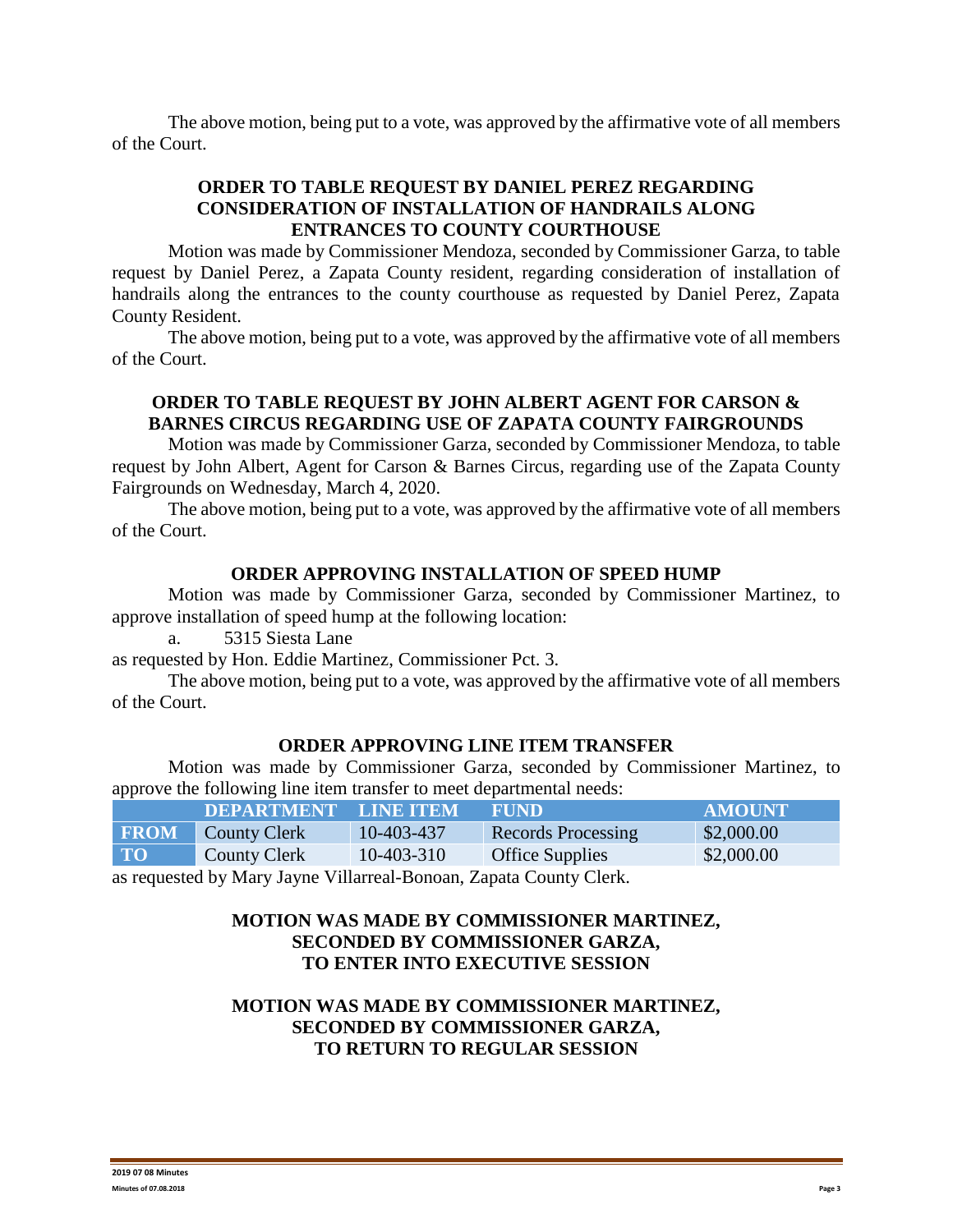The above motion, being put to a vote, was approved by the affirmative vote of all members of the Court.

# **ORDER TO TABLE REQUEST BY DANIEL PEREZ REGARDING CONSIDERATION OF INSTALLATION OF HANDRAILS ALONG ENTRANCES TO COUNTY COURTHOUSE**

Motion was made by Commissioner Mendoza, seconded by Commissioner Garza, to table request by Daniel Perez, a Zapata County resident, regarding consideration of installation of handrails along the entrances to the county courthouse as requested by Daniel Perez, Zapata County Resident.

The above motion, being put to a vote, was approved by the affirmative vote of all members of the Court.

## **ORDER TO TABLE REQUEST BY JOHN ALBERT AGENT FOR CARSON & BARNES CIRCUS REGARDING USE OF ZAPATA COUNTY FAIRGROUNDS**

Motion was made by Commissioner Garza, seconded by Commissioner Mendoza, to table request by John Albert, Agent for Carson & Barnes Circus, regarding use of the Zapata County Fairgrounds on Wednesday, March 4, 2020.

The above motion, being put to a vote, was approved by the affirmative vote of all members of the Court.

### **ORDER APPROVING INSTALLATION OF SPEED HUMP**

Motion was made by Commissioner Garza, seconded by Commissioner Martinez, to approve installation of speed hump at the following location:

a. 5315 Siesta Lane

as requested by Hon. Eddie Martinez, Commissioner Pct. 3.

The above motion, being put to a vote, was approved by the affirmative vote of all members of the Court.

### **ORDER APPROVING LINE ITEM TRANSFER**

Motion was made by Commissioner Garza, seconded by Commissioner Martinez, to approve the following line item transfer to meet departmental needs:

| .           |                             |            |                        |               |
|-------------|-----------------------------|------------|------------------------|---------------|
|             | <b>DEPARTMENT LINE ITEM</b> |            | FUND                   | <b>AMOUNT</b> |
| <b>FROM</b> | <b>County Clerk</b>         | 10-403-437 | Records Processing     | \$2,000.00    |
| <b>TO</b>   | <b>County Clerk</b>         | 10-403-310 | <b>Office Supplies</b> | \$2,000.00    |
|             |                             |            |                        |               |

as requested by Mary Jayne Villarreal-Bonoan, Zapata County Clerk.

## **MOTION WAS MADE BY COMMISSIONER MARTINEZ, SECONDED BY COMMISSIONER GARZA, TO ENTER INTO EXECUTIVE SESSION**

# **MOTION WAS MADE BY COMMISSIONER MARTINEZ, SECONDED BY COMMISSIONER GARZA, TO RETURN TO REGULAR SESSION**